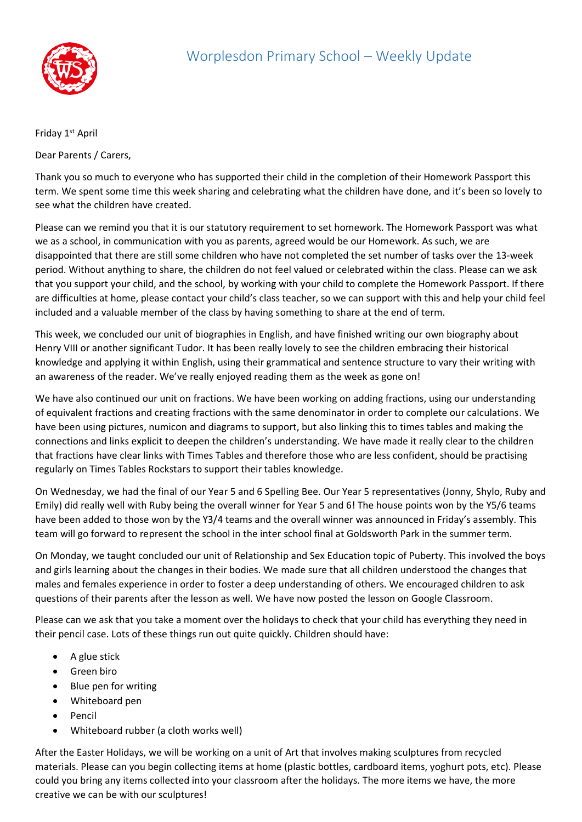

Friday 1<sup>st</sup> April

Dear Parents / Carers,

Thank you so much to everyone who has supported their child in the completion of their Homework Passport this term. We spent some time this week sharing and celebrating what the children have done, and it's been so lovely to see what the children have created.

Please can we remind you that it is our statutory requirement to set homework. The Homework Passport was what we as a school, in communication with you as parents, agreed would be our Homework. As such, we are disappointed that there are still some children who have not completed the set number of tasks over the 13-week period. Without anything to share, the children do not feel valued or celebrated within the class. Please can we ask that you support your child, and the school, by working with your child to complete the Homework Passport. If there are difficulties at home, please contact your child's class teacher, so we can support with this and help your child feel included and a valuable member of the class by having something to share at the end of term.

This week, we concluded our unit of biographies in English, and have finished writing our own biography about Henry VIII or another significant Tudor. It has been really lovely to see the children embracing their historical knowledge and applying it within English, using their grammatical and sentence structure to vary their writing with an awareness of the reader. We've really enjoyed reading them as the week as gone on!

We have also continued our unit on fractions. We have been working on adding fractions, using our understanding of equivalent fractions and creating fractions with the same denominator in order to complete our calculations. We have been using pictures, numicon and diagrams to support, but also linking this to times tables and making the connections and links explicit to deepen the children's understanding. We have made it really clear to the children that fractions have clear links with Times Tables and therefore those who are less confident, should be practising regularly on Times Tables Rockstars to support their tables knowledge.

On Wednesday, we had the final of our Year 5 and 6 Spelling Bee. Our Year 5 representatives (Jonny, Shylo, Ruby and Emily) did really well with Ruby being the overall winner for Year 5 and 6! The house points won by the Y5/6 teams have been added to those won by the Y3/4 teams and the overall winner was announced in Friday's assembly. This team will go forward to represent the school in the inter school final at Goldsworth Park in the summer term.

On Monday, we taught concluded our unit of Relationship and Sex Education topic of Puberty. This involved the boys and girls learning about the changes in their bodies. We made sure that all children understood the changes that males and females experience in order to foster a deep understanding of others. We encouraged children to ask questions of their parents after the lesson as well. We have now posted the lesson on Google Classroom.

Please can we ask that you take a moment over the holidays to check that your child has everything they need in their pencil case. Lots of these things run out quite quickly. Children should have:

- A glue stick
- Green biro
- Blue pen for writing
- Whiteboard pen
- Pencil
- Whiteboard rubber (a cloth works well)

After the Easter Holidays, we will be working on a unit of Art that involves making sculptures from recycled materials. Please can you begin collecting items at home (plastic bottles, cardboard items, yoghurt pots, etc). Please could you bring any items collected into your classroom after the holidays. The more items we have, the more creative we can be with our sculptures!